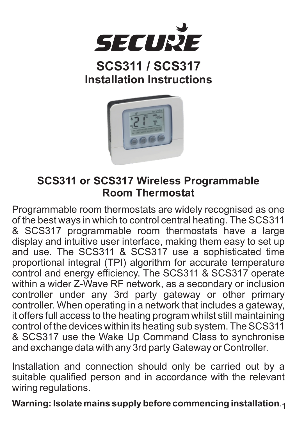

# **SCS311 / SCS317 Installation Instructions**



## **SCS311 or SCS317 Wireless Programmable Room Thermostat**

Programmable room thermostats are widely recognised as one of the best ways in which to control central heating. The SCS311 & SCS317 programmable room thermostats have a large display and intuitive user interface, making them easy to set up and use. The SCS311 & SCS317 use a sophisticated time proportional integral (TPI) algorithm for accurate temperature control and energy efficiency. The SCS311 & SCS317 operate within a wider Z-Wave RF network, as a secondary or inclusion controller under any 3rd party gateway or other primary controller. When operating in a network that includes a gateway, it offers full access to the heating program whilst still maintaining control of the devices within its heating sub system. The SCS311 & SCS317 use the Wake Up Command Class to synchronise and exchange data with any 3rd party Gateway or Controller.

Installation and connection should only be carried out by a suitable qualified person and in accordance with the relevant wiring regulations.

1 **Warning: Isolate mains supply before commencing installation**.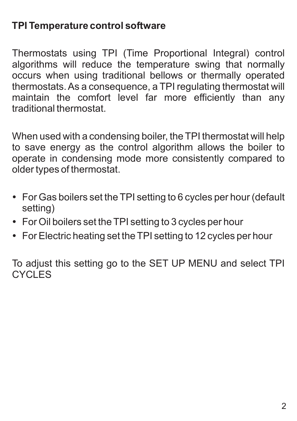### **TPI Temperature control software**

Thermostats using TPI (Time Proportional Integral) control algorithms will reduce the temperature swing that normally occurs when using traditional bellows or thermally operated thermostats. As a consequence, a TPI regulating thermostat will maintain the comfort level far more efficiently than any traditional thermostat.

When used with a condensing boiler, the TPI thermostat will help to save energy as the control algorithm allows the boiler to operate in condensing mode more consistently compared to older types of thermostat.

- For Gas boilers set the TPI setting to 6 cycles per hour (default setting)
- $\bullet$  For Oil boilers set the TPI setting to 3 cycles per hour
- For Electric heating set the TPI setting to 12 cycles per hour

To adjust this setting go to the SET UP MENU and select TPI CYCLES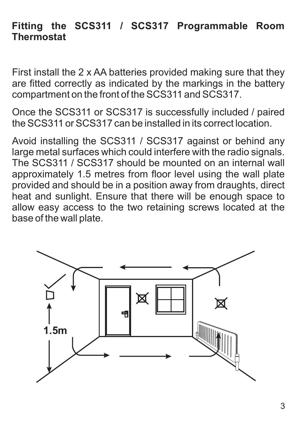#### **Fitting the SCS311 / SCS317 Programmable Room Thermostat**

First install the 2 x AA batteries provided making sure that they are fitted correctly as indicated by the markings in the battery compartment on the front of the SCS311 and SCS317.

Once the SCS311 or SCS317 is successfully included / paired the SCS311 or SCS317 can be installed in its correct location.

Avoid installing the SCS311 / SCS317 against or behind any large metal surfaces which could interfere with the radio signals. The SCS311 / SCS317 should be mounted on an internal wall approximately 1.5 metres from floor level using the wall plate provided and should be in a position away from draughts, direct heat and sunlight. Ensure that there will be enough space to allow easy access to the two retaining screws located at the base of the wall plate.

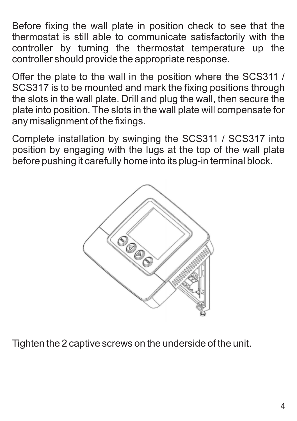Before fixing the wall plate in position check to see that the thermostat is still able to communicate satisfactorily with the controller by turning the thermostat temperature up the controller should provide the appropriate response.

Offer the plate to the wall in the position where the SCS311 / SCS317 is to be mounted and mark the fixing positions through the slots in the wall plate. Drill and plug the wall, then secure the plate into position. The slots in the wall plate will compensate for any misalignment of the fixings.

Complete installation by swinging the SCS311 / SCS317 into position by engaging with the lugs at the top of the wall plate before pushing it carefully home into its plug-in terminal block.



Tighten the 2 captive screws on the underside of the unit.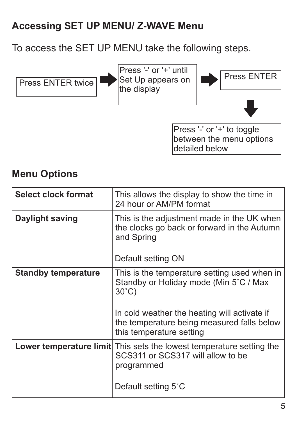### **Accessing SET UP MENU/ Z-WAVE Menu**

To access the SET UP MENU take the following steps.



#### **Menu Options**

| Select clock format        | This allows the display to show the time in<br>24 hour or AM/PM format                                                                                                                                                              |
|----------------------------|-------------------------------------------------------------------------------------------------------------------------------------------------------------------------------------------------------------------------------------|
| Daylight saving            | This is the adjustment made in the UK when<br>the clocks go back or forward in the Autumn<br>and Spring<br>Default setting ON                                                                                                       |
| <b>Standby temperature</b> | This is the temperature setting used when in<br>Standby or Holiday mode (Min 5°C / Max<br>$30^{\circ}$ C)<br>In cold weather the heating will activate if<br>the temperature being measured falls below<br>this temperature setting |
|                            | <b>Lower temperature limit</b> This sets the lowest temperature setting the<br>SCS311 or SCS317 will allow to be<br>programmed<br>Default setting 5°C                                                                               |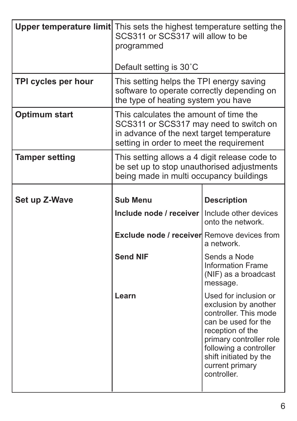|                       | Upper temperature limit This sets the highest temperature setting the<br>SCS311 or SCS317 will allow to be<br>programmed                                                  |                                                                                                                                                                                                                                    |  |
|-----------------------|---------------------------------------------------------------------------------------------------------------------------------------------------------------------------|------------------------------------------------------------------------------------------------------------------------------------------------------------------------------------------------------------------------------------|--|
|                       | Default setting is 30°C                                                                                                                                                   |                                                                                                                                                                                                                                    |  |
| TPI cycles per hour   | This setting helps the TPI energy saving<br>software to operate correctly depending on<br>the type of heating system you have                                             |                                                                                                                                                                                                                                    |  |
| Optimum start         | This calculates the amount of time the<br>SCS311 or SCS317 may need to switch on<br>in advance of the next target temperature<br>setting in order to meet the requirement |                                                                                                                                                                                                                                    |  |
| <b>Tamper setting</b> | This setting allows a 4 digit release code to<br>be set up to stop unauthorised adjustments<br>being made in multi occupancy buildings                                    |                                                                                                                                                                                                                                    |  |
| Set up Z-Wave         | Sub Menu                                                                                                                                                                  | <b>Description</b>                                                                                                                                                                                                                 |  |
|                       | Include node / receiver   Include other devices                                                                                                                           | onto the network.                                                                                                                                                                                                                  |  |
|                       | Exclude node / receiver Remove devices from                                                                                                                               | a network.                                                                                                                                                                                                                         |  |
|                       | Send NIF                                                                                                                                                                  | Sends a Node<br><b>Information Frame</b><br>(NIF) as a broadcast<br>message.                                                                                                                                                       |  |
|                       | Learn                                                                                                                                                                     | Used for inclusion or<br>exclusion by another<br>controller. This mode<br>can be used for the<br>reception of the<br>primary controller role<br>following a controller<br>shift initiated by the<br>current primary<br>controller. |  |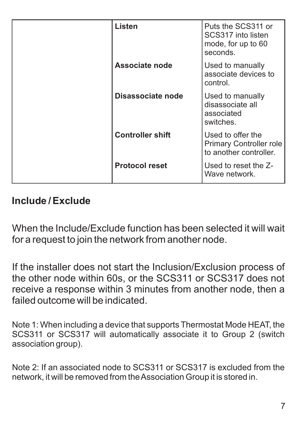| Listen                  | Puts the SCS311 or<br>SCS317 into listen<br>mode, for up to 60<br>seconds. |
|-------------------------|----------------------------------------------------------------------------|
| Associate node          | Used to manually<br>associate devices to<br>control.                       |
| Disassociate node       | Used to manually<br>disassociate all<br>associated<br>switches.            |
| <b>Controller shift</b> | Used to offer the<br>Primary Controller role<br>to another controller.     |
| <b>Protocol reset</b>   | Used to reset the Z-<br>Wave network.                                      |

#### **Include / Exclude**

When the Include/Exclude function has been selected it will wait for a request to join the network from another node.

If the installer does not start the Inclusion/Exclusion process of the other node within 60s, or the SCS311 or SCS317 does not receive a response within 3 minutes from another node, then a failed outcome will be indicated.

Note 1: When including a device that supports Thermostat Mode HEAT, the SCS311 or SCS317 will automatically associate it to Group 2 (switch association group).

Note 2: If an associated node to SCS311 or SCS317 is excluded from the network, it will be removed from the Association Group it is stored in.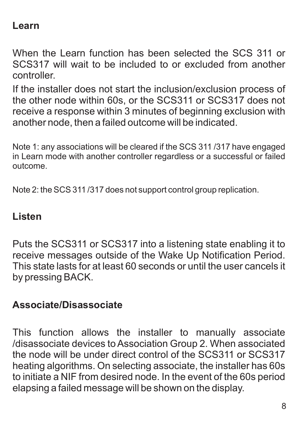#### **Learn**

When the Learn function has been selected the SCS 311 or SCS317 will wait to be included to or excluded from another controller.

If the installer does not start the inclusion/exclusion process of the other node within 60s, or the SCS311 or SCS317 does not receive a response within 3 minutes of beginning exclusion with another node, then a failed outcome will be indicated.

Note 1: any associations will be cleared if the SCS 311/317 have engaged in Learn mode with another controller regardless or a successful or failed outcome.

Note 2: the SCS 311/317 does not support control group replication.

#### **Listen**

Puts the SCS311 or SCS317 into a listening state enabling it to receive messages outside of the Wake Up Notification Period. This state lasts for at least 60 seconds or until the user cancels it by pressing BACK.

#### **Associate/Disassociate**

This function allows the installer to manually associate /disassociate devices to Association Group 2. When associated the node will be under direct control of the SCS311 or SCS317 heating algorithms. On selecting associate, the installer has 60s to initiate a NIF from desired node. In the event of the 60s period elapsing a failed message will be shown on the display.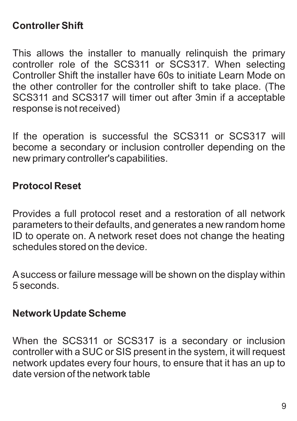### **Controller Shift**

This allows the installer to manually relinquish the primary controller role of the SCS311 or SCS317. When selecting Controller Shift the installer have 60s to initiate Learn Mode on the other controller for the controller shift to take place. (The SCS311 and SCS317 will timer out after 3min if a acceptable response is not received)

If the operation is successful the SCS311 or SCS317 will become a secondary or inclusion controller depending on the new primary controller's capabilities.

#### **Protocol Reset**

Provides a full protocol reset and a restoration of all network parameters to their defaults, and generates a new random home ID to operate on. A network reset does not change the heating schedules stored on the device.

Asuccess or failure message will be shown on the display within 5 seconds.

#### **Network Update Scheme**

When the SCS311 or SCS317 is a secondary or inclusion controller with a SUC or SIS present in the system, it will request network updates every four hours, to ensure that it has an up to date version of the network table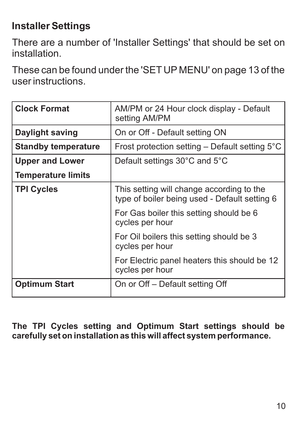# **Installer Settings**

There are a number of 'Installer Settings' that should be set on installation.

These can be found under the 'SET UP MENU' on page 13 of the user instructions.

| <b>Clock Format</b>        | AM/PM or 24 Hour clock display - Default<br>setting AM/PM                                  |  |
|----------------------------|--------------------------------------------------------------------------------------------|--|
| Daylight saving            | On or Off - Default setting ON                                                             |  |
| <b>Standby temperature</b> | Frost protection setting - Default setting 5°C                                             |  |
| <b>Upper and Lower</b>     | Default settings 30°C and 5°C                                                              |  |
| <b>Temperature limits</b>  |                                                                                            |  |
| <b>TPI Cycles</b>          | This setting will change according to the<br>type of boiler being used - Default setting 6 |  |
|                            | For Gas boiler this setting should be 6<br>cycles per hour                                 |  |
|                            | For Oil boilers this setting should be 3<br>cycles per hour                                |  |
|                            | For Electric panel heaters this should be 12<br>cycles per hour                            |  |
| <b>Optimum Start</b>       | On or Off - Default setting Off                                                            |  |

**The TPI Cycles setting and Optimum Start settings should be carefully set on installation as this will affect system performance.**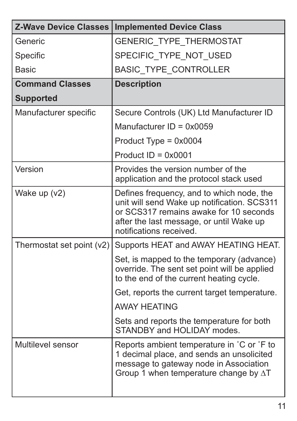| <b>Z-Wave Device Classes</b> | <b>Implemented Device Class</b>                                                                                                                                                                          |
|------------------------------|----------------------------------------------------------------------------------------------------------------------------------------------------------------------------------------------------------|
| Generic                      | <b>GENERIC TYPE THERMOSTAT</b>                                                                                                                                                                           |
| Specific                     | SPECIFIC TYPE NOT USED                                                                                                                                                                                   |
| Basic                        | <b>BASIC TYPE CONTROLLER</b>                                                                                                                                                                             |
| <b>Command Classes</b>       | <b>Description</b>                                                                                                                                                                                       |
| <b>Supported</b>             |                                                                                                                                                                                                          |
| Manufacturer specific        | Secure Controls (UK) Ltd Manufacturer ID                                                                                                                                                                 |
|                              | Manufacturer $ID = 0x0059$                                                                                                                                                                               |
|                              | Product Type = 0x0004                                                                                                                                                                                    |
|                              | Product $ID = 0x0001$                                                                                                                                                                                    |
| Version                      | Provides the version number of the<br>application and the protocol stack used                                                                                                                            |
| Wake up (v2)                 | Defines frequency, and to which node, the<br>unit will send Wake up notification. SCS311<br>or SCS317 remains awake for 10 seconds<br>after the last message, or until Wake up<br>notifications received |
| Thermostat set point (v2)    | Supports HEAT and AWAY HEATING HEAT.                                                                                                                                                                     |
|                              | Set, is mapped to the temporary (advance)<br>override. The sent set point will be applied<br>to the end of the current heating cycle.                                                                    |
|                              | Get, reports the current target temperature.                                                                                                                                                             |
|                              | <b>AWAY HEATING</b>                                                                                                                                                                                      |
|                              | Sets and reports the temperature for both<br>STANDBY and HOLIDAY modes.                                                                                                                                  |
| Multilevel sensor            | Reports ambient temperature in °C or °F to<br>1 decimal place, and sends an unsolicited<br>message to gateway node in Association<br>Group 1 when temperature change by $\Delta T$                       |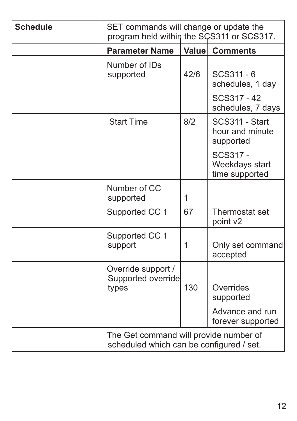| Schedule | SET commands will change or update the<br>program held within the SCS311 or SCS317. |        |                                                |  |  |
|----------|-------------------------------------------------------------------------------------|--------|------------------------------------------------|--|--|
|          | <b>Parameter Name</b>                                                               | Valuel | <b>Comments</b>                                |  |  |
|          | Number of IDs<br>supported                                                          | 42/6   | SCS311 - 6<br>schedules, 1 day                 |  |  |
|          |                                                                                     |        | SCS317 - 42<br>schedules, 7 days               |  |  |
|          | <b>Start Time</b>                                                                   | 8/2    | SCS311 - Start<br>hour and minute<br>supported |  |  |
|          |                                                                                     |        | SCS317 -<br>Weekdays start<br>time supported   |  |  |
|          | Number of CC<br>supported                                                           | 1      |                                                |  |  |
|          | Supported CC 1                                                                      | 67     | Thermostat set<br>point v2                     |  |  |
|          | Supported CC 1<br>support                                                           | 1      | Only set command<br>accepted                   |  |  |
|          | Override support /<br>Supported override<br>types                                   | 130    | Overrides<br>supported                         |  |  |
|          |                                                                                     |        | Advance and run<br>forever supported           |  |  |
|          | The Get command will provide number of<br>scheduled which can be configured / set.  |        |                                                |  |  |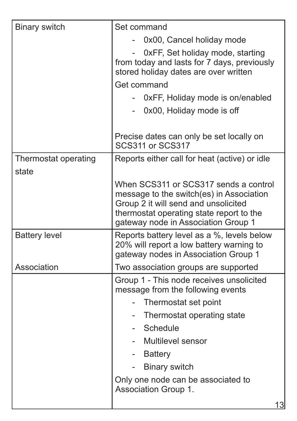| Binary switch                 | Set command                                                                                                                                          |  |  |
|-------------------------------|------------------------------------------------------------------------------------------------------------------------------------------------------|--|--|
|                               | 0x00, Cancel holiday mode                                                                                                                            |  |  |
|                               | 0xFF, Set holiday mode, starting<br>$\overline{\phantom{a}}$<br>from today and lasts for 7 days, previously<br>stored holiday dates are over written |  |  |
|                               | Get command                                                                                                                                          |  |  |
|                               | 0xFF, Holiday mode is on/enabled                                                                                                                     |  |  |
|                               | - 0x00, Holiday mode is off                                                                                                                          |  |  |
|                               | Precise dates can only be set locally on<br>SCS311 or SCS317                                                                                         |  |  |
| Thermostat operating<br>state | Reports either call for heat (active) or idle                                                                                                        |  |  |
|                               | When SCS311 or SCS317 sends a control                                                                                                                |  |  |
|                               | message to the switch(es) in Association                                                                                                             |  |  |
|                               | Group 2 it will send and unsolicited                                                                                                                 |  |  |
|                               | thermostat operating state report to the<br>gateway node in Association Group 1                                                                      |  |  |
| <b>Battery level</b>          | Reports battery level as a %, levels below<br>20% will report a low battery warning to<br>gateway nodes in Association Group 1                       |  |  |
| Association                   | Two association groups are supported                                                                                                                 |  |  |
|                               | Group 1 - This node receives unsolicited<br>message from the following events                                                                        |  |  |
|                               | Thermostat set point<br>$\overline{\phantom{0}}$                                                                                                     |  |  |
|                               | - Thermostat operating state                                                                                                                         |  |  |
|                               | Schedule<br>$\sim$                                                                                                                                   |  |  |
|                               | Multilevel sensor                                                                                                                                    |  |  |
|                               | - Battery                                                                                                                                            |  |  |
|                               | Binary switch<br>$\overline{\phantom{a}}$                                                                                                            |  |  |
|                               | Only one node can be associated to<br>Association Group 1.                                                                                           |  |  |
|                               | 13                                                                                                                                                   |  |  |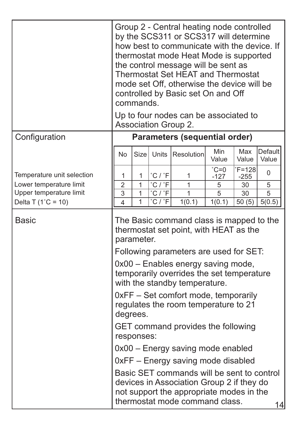|                             |                                                                                                                                                                                                                                                                                                                                                                                                                                                                                           | commands.         |            | Group 2 - Central heating node controlled<br>by the SCS311 or SCS317 will determine<br>how best to communicate with the device. If<br>thermostat mode Heat Mode is supported<br>the control message will be sent as<br>Thermostat Set HEAT and Thermostat<br>mode set Off, otherwise the device will be<br>controlled by Basic set On and Off<br>Up to four nodes can be associated to<br>Association Group 2. |                 |                     |                         |
|-----------------------------|-------------------------------------------------------------------------------------------------------------------------------------------------------------------------------------------------------------------------------------------------------------------------------------------------------------------------------------------------------------------------------------------------------------------------------------------------------------------------------------------|-------------------|------------|----------------------------------------------------------------------------------------------------------------------------------------------------------------------------------------------------------------------------------------------------------------------------------------------------------------------------------------------------------------------------------------------------------------|-----------------|---------------------|-------------------------|
| Configuration               |                                                                                                                                                                                                                                                                                                                                                                                                                                                                                           |                   |            | Parameters (sequential order)                                                                                                                                                                                                                                                                                                                                                                                  |                 |                     |                         |
|                             | N <sub>o</sub>                                                                                                                                                                                                                                                                                                                                                                                                                                                                            | Size <sup>1</sup> | Units      | Resolution                                                                                                                                                                                                                                                                                                                                                                                                     | Min<br>Value    | Max<br>Value        | <b>Default</b><br>Value |
| Temperature unit selection  | 1                                                                                                                                                                                                                                                                                                                                                                                                                                                                                         | 1                 | $C/T$ F    | 1                                                                                                                                                                                                                                                                                                                                                                                                              | $C=0$<br>$-127$ | $F = 128$<br>$-255$ | $\Omega$                |
| Lower temperature limit     | $\overline{2}$                                                                                                                                                                                                                                                                                                                                                                                                                                                                            | 1                 | °C / F     | 1                                                                                                                                                                                                                                                                                                                                                                                                              | 5               | 30                  | 5                       |
| Upper temperature limit     | 3                                                                                                                                                                                                                                                                                                                                                                                                                                                                                         | 1                 | $°C / r$ F | 1                                                                                                                                                                                                                                                                                                                                                                                                              | 5               | 30                  | 5                       |
| Delta T $(1^{\circ}C = 10)$ | 4                                                                                                                                                                                                                                                                                                                                                                                                                                                                                         | 1                 | C / F      | 1(0.1)                                                                                                                                                                                                                                                                                                                                                                                                         | 1(0.1)          | 50(5)               | 5(0.5)                  |
| Basic                       | The Basic command class is mapped to the<br>thermostat set point, with HEAT as the<br>parameter.<br>Following parameters are used for SET:<br>0x00 - Enables energy saving mode,<br>temporarily overrides the set temperature<br>with the standby temperature.<br>0xFF - Set comfort mode, temporarily<br>regulates the room temperature to 21<br>degrees.<br>GET command provides the following<br>responses:<br>0x00 - Energy saving mode enabled<br>0xFF - Energy saving mode disabled |                   |            |                                                                                                                                                                                                                                                                                                                                                                                                                |                 |                     |                         |
|                             |                                                                                                                                                                                                                                                                                                                                                                                                                                                                                           |                   |            | Basic SET commands will be sent to control<br>devices in Association Group 2 if they do<br>not support the appropriate modes in the<br>thermostat mode command class.                                                                                                                                                                                                                                          |                 |                     | 14                      |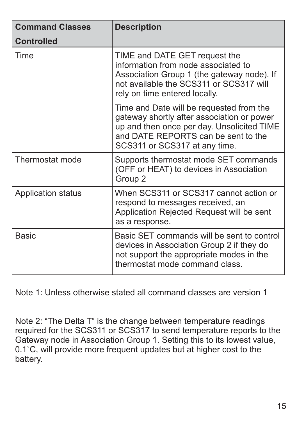| <b>Command Classes</b> | <b>Description</b>                                                                                                                                                                                           |
|------------------------|--------------------------------------------------------------------------------------------------------------------------------------------------------------------------------------------------------------|
| Controlled             |                                                                                                                                                                                                              |
| Time                   | TIME and DATE GET request the<br>information from node associated to<br>Association Group 1 (the gateway node). If<br>not available the SCS311 or SCS317 will<br>rely on time entered locally.               |
|                        | Time and Date will be requested from the<br>gateway shortly after association or power<br>up and then once per day. Unsolicited TIME<br>and DATE REPORTS can be sent to the<br>SCS311 or SCS317 at any time. |
| Thermostat mode        | Supports thermostat mode SET commands<br>(OFF or HEAT) to devices in Association<br>Group 2                                                                                                                  |
| Application status     | When SCS311 or SCS317 cannot action or<br>respond to messages received, an<br>Application Rejected Request will be sent<br>as a response.                                                                    |
| Basic                  | Basic SET commands will be sent to control<br>devices in Association Group 2 if they do<br>not support the appropriate modes in the<br>thermostat mode command class.                                        |

Note 1: Unless otherwise stated all command classes are version 1

Note 2: "The Delta T" is the change between temperature readings required for the SCS311 or SCS317 to send temperature reports to the Gateway node in Association Group 1. Setting this to its lowest value, 0.1˚C, will provide more frequent updates but at higher cost to the battery.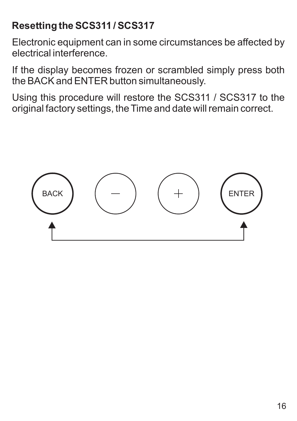# **Resetting the SCS311 / SCS317**

Electronic equipment can in some circumstances be affected by electrical interference.

If the display becomes frozen or scrambled simply press both the BACK and ENTER button simultaneously.

Using this procedure will restore the SCS311 / SCS317 to the original factory settings, the Time and date will remain correct.

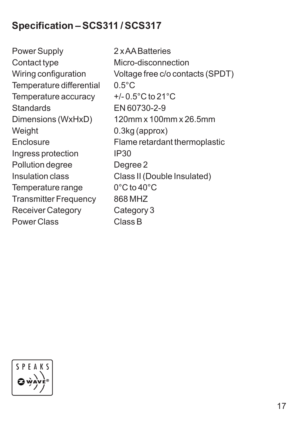# **Specification – SCS311 / SCS317**

Power Supply 2 x AA Batteries Contact type Micro-disconnection Temperature differential 0.5°C Temperature accuracy  $+/-0.5^{\circ}$ C to 21 $^{\circ}$ C<br>Standards FN 60730-2-9 Dimensions (WxHxD) 120mm x 100mm x 26.5mm Weight 0.3kg (approx) Ingress protection IP30 Pollution degree **Degree 2** Insulation class Class II (Double Insulated) Temperature range 0°C to 40°C Transmitter Frequency 868 MHZ Receiver Category Category 3 Power Class Class B

Wiring configuration Voltage free c/o contacts (SPDT) Standards EN 60730-2-9 Enclosure Flame retardant thermoplastic